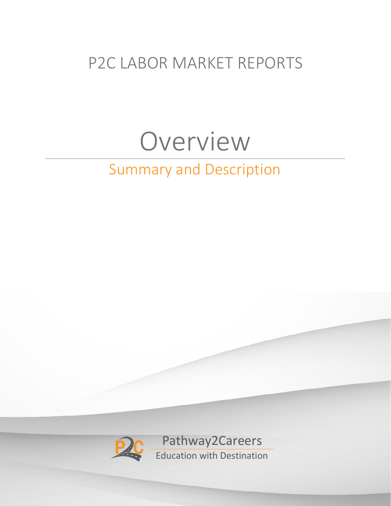## P2C LABOR MARKET REPORTS

# Overview

## Summary and Description

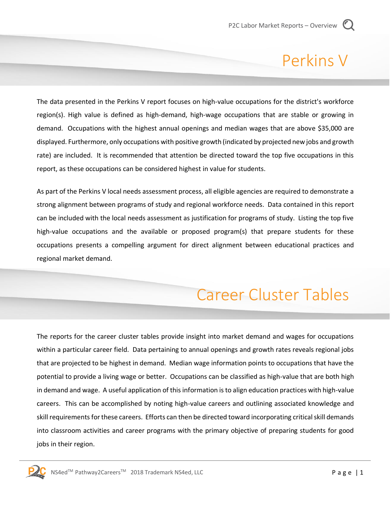### Perkins V

The data presented in the Perkins V report focuses on high-value occupations for the district's workforce region(s). High value is defined as high-demand, high-wage occupations that are stable or growing in demand. Occupations with the highest annual openings and median wages that are above \$35,000 are displayed. Furthermore, only occupations with positive growth (indicated by projected new jobs and growth rate) are included. It is recommended that attention be directed toward the top five occupations in this report, as these occupations can be considered highest in value for students.

As part of the Perkins V local needs assessment process, all eligible agencies are required to demonstrate a strong alignment between programs of study and regional workforce needs. Data contained in this report can be included with the local needs assessment as justification for programs of study. Listing the top five high-value occupations and the available or proposed program(s) that prepare students for these occupations presents a compelling argument for direct alignment between educational practices and regional market demand.

## Career Cluster Tables

The reports for the career cluster tables provide insight into market demand and wages for occupations within a particular career field. Data pertaining to annual openings and growth rates reveals regional jobs that are projected to be highest in demand. Median wage information points to occupations that have the potential to provide a living wage or better. Occupations can be classified as high-value that are both high in demand and wage. A useful application of this information is to align education practices with high-value careers. This can be accomplished by noting high-value careers and outlining associated knowledge and skill requirements for these careers. Efforts can then be directed toward incorporating critical skill demands into classroom activities and career programs with the primary objective of preparing students for good jobs in their region.